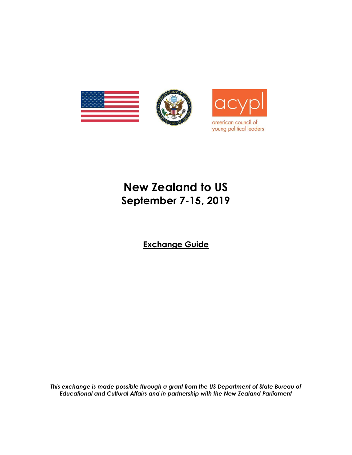

# **New Zealand to US September 7-15, 2019**

**Exchange Guide**

*This exchange is made possible through a grant from the US Department of State Bureau of Educational and Cultural Affairs and in partnership with the New Zealand Parliament*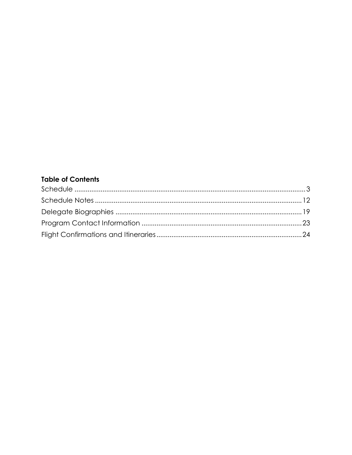## **Table of Contents**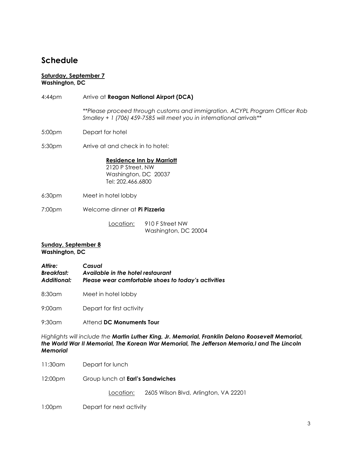# <span id="page-2-0"></span>**Schedule**

#### **Saturday, September 7 Washington, DC**

- 4:44pm Arrive at **Reagan National Airport (DCA)** *\*\*Please proceed through customs and immigration. ACYPL Program Officer Rob Smalley + 1 (706) 459-7585 will meet you in international arrivals\*\**
- 5:00pm Depart for hotel

5:30pm Arrive at and check in to hotel:

**Residence Inn by Marriott** 2120 P Street, NW Washington, DC 20037 Tel: 202.466.6800

- 6:30pm Meet in hotel lobby
- 7:00pm Welcome dinner at **Pi Pizzeria**

Location: 910 F Street NW Washington, DC 20004

#### **Sunday, September 8 Washington, DC**

- *Attire: Casual Breakfast: Available in the hotel restaurant Additional: Please wear comfortable shoes to today's activities*
- 8:30am Meet in hotel lobby

9:00am Depart for first activity

9:30am Attend **DC Monuments Tour**

*Highlights will include the Martin Luther King, Jr. Memorial, Franklin Delano Roosevelt Memorial, the World War II Memorial, The Korean War Memorial, The Jefferson Memoria,l and The Lincoln Memorial*

- 11:30am Depart for lunch
- 12:00pm Group lunch at **Earl's Sandwiches**

Location: 2605 Wilson Blvd, Arlington, VA 22201

1:00pm Depart for next activity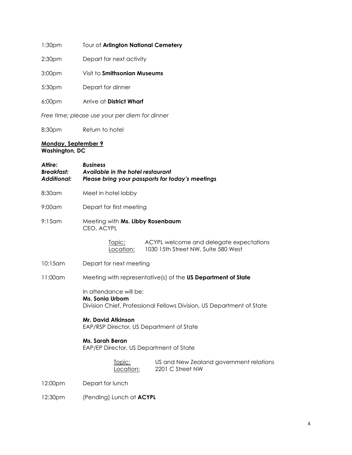| 1:30 <sub>pm</sub> |  | Tour of Arlington National Cemetery |
|--------------------|--|-------------------------------------|
|                    |  |                                     |

2:30pm Depart for next activity

3:00pm Visit to **Smithsonian Museums**

5:30pm Depart for dinner

6:00pm Arrive at **District Wharf**

*Free time; please use your per diem for dinner*

8:30pm Return to hotel

### **Monday, September 9 Washington, DC**

| Attire:<br><b>Breakfast:</b><br><b>Additional:</b> | <b>Business</b><br>Available in the hotel restaurant<br>Please bring your passports for today's meetings           |  |
|----------------------------------------------------|--------------------------------------------------------------------------------------------------------------------|--|
| 8:30am                                             | Meet in hotel lobby                                                                                                |  |
| $9:00$ am                                          | Depart for first meeting                                                                                           |  |
| $9:15$ am                                          | Meeting with Ms. Libby Rosenbaum<br>CEO, ACYPL                                                                     |  |
|                                                    | ACYPL welcome and delegate expectations<br>Topic:<br>1030 15th Street NW, Suite 580 West<br>Location:              |  |
| $10:15$ am                                         | Depart for next meeting                                                                                            |  |
| 11:00am                                            | Meeting with representative(s) of the US Department of State                                                       |  |
|                                                    | In attendance will be:<br>Ms. Sonia Urbom<br>Division Chief, Professional Fellows Division, US Department of State |  |
|                                                    | <b>Mr. David Atkinson</b><br>EAP/RSP Director, US Department of State                                              |  |
|                                                    | Ms. Sarah Beran<br>EAP/EP Director, US Department of State                                                         |  |
|                                                    | US and New Zealand government relations<br>Topic:<br>Location:<br>2201 C Street NW                                 |  |
| 12:00pm                                            | Depart for lunch                                                                                                   |  |
| 12:30pm                                            | (Pending) Lunch at ACYPL                                                                                           |  |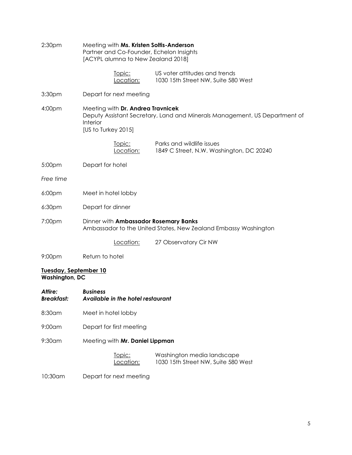| 2:30 <sub>pm</sub>                             | Meeting with Ms. Kristen Soltis-Anderson<br>Partner and Co-Founder, Echelon Insights<br>[ACYPL alumna to New Zealand 2018] |                                                                            |
|------------------------------------------------|----------------------------------------------------------------------------------------------------------------------------|----------------------------------------------------------------------------|
|                                                | Topic:<br>Location:                                                                                                        | US voter attitudes and trends<br>1030 15th Street NW, Suite 580 West       |
| 3:30 <sub>pm</sub>                             | Depart for next meeting                                                                                                    |                                                                            |
| 4:00pm                                         | Meeting with Dr. Andrea Travnicek<br>Interior<br>[US to Turkey 2015]                                                       | Deputy Assistant Secretary, Land and Minerals Management, US Department of |
|                                                | Topic:<br>Location:                                                                                                        | Parks and wildlife issues<br>1849 C Street, N.W. Washington, DC 20240      |
| 5:00pm                                         | Depart for hotel                                                                                                           |                                                                            |
| Free time                                      |                                                                                                                            |                                                                            |
| 6:00 <sub>pm</sub>                             | Meet in hotel lobby                                                                                                        |                                                                            |
| 6:30 <sub>pm</sub>                             | Depart for dinner                                                                                                          |                                                                            |
| 7:00pm                                         | Dinner with Ambassador Rosemary Banks                                                                                      | Ambassador to the United States, New Zealand Embassy Washington            |
|                                                | Location:                                                                                                                  | 27 Observatory Cir NW                                                      |
| 9:00 <sub>pm</sub>                             | Return to hotel                                                                                                            |                                                                            |
| Tuesday, September 10<br><b>Washington, DC</b> |                                                                                                                            |                                                                            |
| Attire:<br><b>Breakfast:</b>                   | <b>Business</b><br>Available in the hotel restaurant                                                                       |                                                                            |
| 8:30am                                         | Meet in hotel lobby                                                                                                        |                                                                            |
| $9:00$ am                                      | Depart for first meeting                                                                                                   |                                                                            |
| $9:30$ am                                      | Meeting with Mr. Daniel Lippman                                                                                            |                                                                            |
|                                                | Topic:<br>Location:                                                                                                        | Washington media landscape<br>1030 15th Street NW, Suite 580 West          |

10:30am Depart for next meeting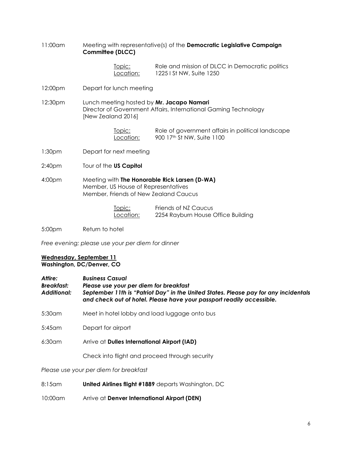11:00am Meeting with representative(s) of the **Democratic Legislative Campaign Committee (DLCC)**

> Topic: Role and mission of DLCC in Democratic politics Location: 1225 I St NW, Suite 1250

12:00pm Depart for lunch meeting

12:30pm Lunch meeting hosted by **Mr. Jacapo Namari** Director of Government Affairs, International Gaming Technology [New Zealand 2016]

| <u>Topic:</u> | Role of government affairs in political landscape |
|---------------|---------------------------------------------------|
| Location:     | 900 17th St NW, Suite 1100                        |

- 1:30pm Depart for next meeting
- 2:40pm Tour of the **US Capitol**
- 4:00pm Meeting with **The Honorable Rick Larsen (D-WA)** Member, US House of Representatives Member, Friends of New Zealand Caucus

| Topic:    | Friends of NZ Caucus               |
|-----------|------------------------------------|
| Location: | 2254 Rayburn House Office Building |

5:00pm Return to hotel

*Free evening; please use your per diem for dinner*

#### **Wednesday, September 11 Washington, DC/Denver, CO**

| Attire:     | <b>Business Casual</b>                                                                                                                                        |
|-------------|---------------------------------------------------------------------------------------------------------------------------------------------------------------|
| Breakfast:  | Please use your per diem for breakfast                                                                                                                        |
| Additional: | September 11th is "Patriot Day" in the United States. Please pay for any incidentals<br>and check out of hotel. Please have your passport readily accessible. |

5:30am Meet in hotel lobby and load luggage onto bus

5:45am Depart for airport

6:30am Arrive at **Dulles International Airport (IAD)**

Check into flight and proceed through security

#### *Please use your per diem for breakfast*

- 8:15am **United Airlines flight #1889** departs Washington, DC
- 10:00am Arrive at **Denver International Airport (DEN)**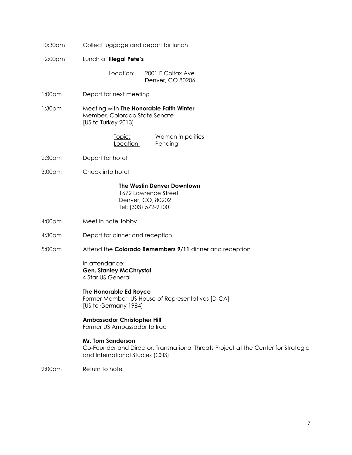| 10:30am            | Collect luggage and depart for lunch                                                                                                        |
|--------------------|---------------------------------------------------------------------------------------------------------------------------------------------|
| 12:00pm            | Lunch at Illegal Pete's                                                                                                                     |
|                    | Location:<br>2001 E Colfax Ave<br>Denver, CO 80206                                                                                          |
| 1:00 <sub>pm</sub> | Depart for next meeting                                                                                                                     |
| 1:30 <sub>pm</sub> | Meeting with The Honorable Faith Winter<br>Member, Colorado State Senate<br>[US to Turkey 2013]                                             |
|                    | Women in politics<br>Topic:<br>Location:<br>Pending                                                                                         |
| 2:30 <sub>pm</sub> | Depart for hotel                                                                                                                            |
| 3:00pm             | Check into hotel                                                                                                                            |
|                    | The Westin Denver Downtown<br>1672 Lawrence Street<br>Denver, CO, 80202<br>Tel: (303) 572-9100                                              |
| 4:00pm             | Meet in hotel lobby                                                                                                                         |
| 4:30pm             | Depart for dinner and reception                                                                                                             |
| 5:00pm             | Attend the Colorado Remembers 9/11 dinner and reception                                                                                     |
|                    | In attendance:<br><b>Gen. Stanley McChrystal</b><br>4 Star US General                                                                       |
|                    | The Honorable Ed Royce<br>Former Member, US House of Representatives [D-CA]<br>[US to Germany 1984]                                         |
|                    | <b>Ambassador Christopher Hill</b><br>Former US Ambassador to Iraq                                                                          |
|                    | Mr. Tom Sanderson<br>Co-Founder and Director, Transnational Threats Project at the Center for Strategic<br>and International Studies (CSIS) |
| 9:00pm             | Return to hotel                                                                                                                             |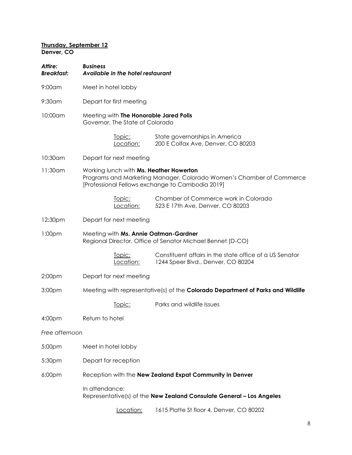### **Thursday, September 12 Denver, CO**

| Attire:<br><b>Breakfast:</b> | <b>Business</b>     | Available in the hotel restaurant |                                                                                                                                                                     |
|------------------------------|---------------------|-----------------------------------|---------------------------------------------------------------------------------------------------------------------------------------------------------------------|
| $9:00$ am                    | Meet in hotel lobby |                                   |                                                                                                                                                                     |
| $9:30$ am                    |                     | Depart for first meeting          |                                                                                                                                                                     |
| 10:00am                      |                     | Governor, The State of Colorado   | Meeting with The Honorable Jared Polis                                                                                                                              |
|                              |                     | Topic:<br>Location:               | State governorships in America<br>200 E Colfax Ave, Denver, CO 80203                                                                                                |
| 10:30am                      |                     | Depart for next meeting           |                                                                                                                                                                     |
| 11:30am                      |                     |                                   | Working lunch with Ms. Heather Howerton<br>Programs and Marketing Manager, Colorado Women's Chamber of Commerce<br>[Professional Fellows exchange to Cambodia 2019] |
|                              |                     | <u>Topic:</u><br>Location:        | Chamber of Commerce work in Colorado<br>523 E 17th Ave, Denver, CO 80203                                                                                            |
| 12:30pm                      |                     | Depart for next meeting           |                                                                                                                                                                     |
| 1:00 <sub>pm</sub>           |                     |                                   | Meeting with Ms. Annie Oatman-Gardner<br>Regional Director, Office of Senator Michael Bennet (D-CO)                                                                 |
|                              |                     | <u>Topic:</u><br>Location:        | Constituent affairs in the state office of a US Senator<br>1244 Speer Blvd., Denver, CO 80204                                                                       |
| 2:00pm                       |                     | Depart for next meeting           |                                                                                                                                                                     |
| 3:00pm                       |                     |                                   | Meeting with representative(s) of the <b>Colorado Department of Parks and Wildlife</b>                                                                              |
|                              |                     | Topic:                            | Parks and wildlife Issues                                                                                                                                           |
| 4:00pm                       | Return to hotel     |                                   |                                                                                                                                                                     |
| Free afternoon               |                     |                                   |                                                                                                                                                                     |
| 5:00pm                       | Meet in hotel lobby |                                   |                                                                                                                                                                     |
| 5:30pm                       |                     | Depart for reception              |                                                                                                                                                                     |
| 6:00pm                       |                     |                                   | Reception with the New Zealand Expat Community in Denver                                                                                                            |
|                              | In attendance:      |                                   | Representative(s) of the New Zealand Consulate General - Los Angeles                                                                                                |
|                              |                     | <u>Location:</u>                  | 1615 Platte St floor 4, Denver, CO 80202                                                                                                                            |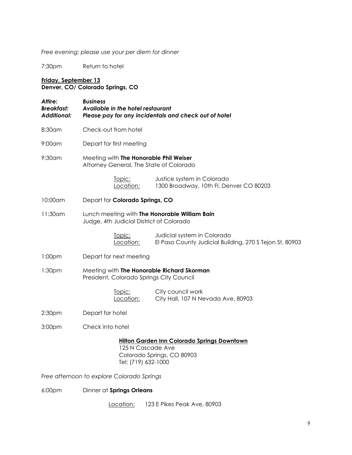*Free evening; please use your per diem for dinner*

7:30pm Return to hotel

### **Friday, September 13 Denver, CO/ Colorado Springs, CO**

| Attire:<br><b>Breakfast:</b><br><b>Additional:</b> | <b>Business</b><br>Available in the hotel restaurant                                      | Please pay for any incidentals and check out of hotel                                  |
|----------------------------------------------------|-------------------------------------------------------------------------------------------|----------------------------------------------------------------------------------------|
| 8:30am                                             | Check-out from hotel                                                                      |                                                                                        |
| $9:00$ am                                          | Depart for first meeting                                                                  |                                                                                        |
| $9:30$ am                                          | Meeting with The Honorable Phil Weiser<br>Attorney General, The State of Colorado         |                                                                                        |
|                                                    | Topic:<br>Location:                                                                       | Justice system in Colorado<br>1300 Broadway, 10th Fl, Denver CO 80203                  |
| 10:00am                                            | Depart for Colorado Springs, CO                                                           |                                                                                        |
| 11:30am                                            | Lunch meeting with The Honorable William Bain<br>Judge, 4th Judicial District of Colorado |                                                                                        |
|                                                    | Topic:<br>Location:                                                                       | Judicial system in Colorado<br>El Paso County Judicial Building, 270 S Tejon St, 80903 |
| 1:00 <sub>pm</sub>                                 | Depart for next meeting                                                                   |                                                                                        |
| 1:30 <sub>pm</sub>                                 | Meeting with The Honorable Richard Skorman<br>President, Colorado Springs City Council    |                                                                                        |
|                                                    | Topic:<br>Location:                                                                       | City council work<br>City Hall, 107 N Nevada Ave, 80903                                |
| 2:30 <sub>pm</sub>                                 | Depart for hotel                                                                          |                                                                                        |
| 3:00pm                                             | Check into hotel                                                                          |                                                                                        |
|                                                    | 125 N Cascade Ave<br>Tel: (719) 632-1000                                                  | Hilton Garden Inn Colorado Springs Downtown<br>Colorado Springs, CO 80903              |

*Free afternoon to explore Colorado Springs*

6:00pm Dinner at **Springs Orleans**

Location: 123 E Pikes Peak Ave, 80903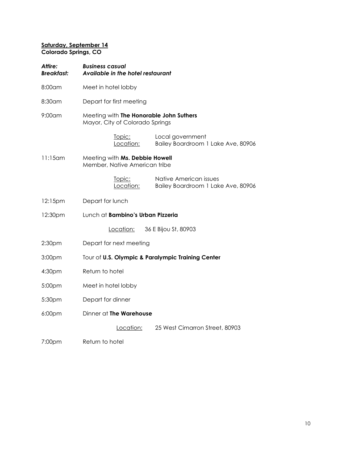### **Saturday, September 14 Colorado Springs, CO**

| Attire:<br><b>Breakfast:</b> | <b>Business casual</b><br>Available in the hotel restaurant                |                                    |  |  |
|------------------------------|----------------------------------------------------------------------------|------------------------------------|--|--|
| 8:00am                       | Meet in hotel lobby                                                        |                                    |  |  |
| 8:30am                       | Depart for first meeting                                                   |                                    |  |  |
| $9:00$ am                    | Meeting with The Honorable John Suthers<br>Mayor, City of Colorado Springs |                                    |  |  |
|                              | Local government<br>Topic:<br>Location:                                    | Bailey Boardroom 1 Lake Ave, 80906 |  |  |
| $11:15$ am                   | Meeting with Ms. Debbie Howell<br>Member, Native American tribe            |                                    |  |  |
|                              | Native American issues<br>Topic:<br>Location:                              | Bailey Boardroom 1 Lake Ave, 80906 |  |  |
| 12:15pm                      | Depart for lunch                                                           |                                    |  |  |
| 12:30pm                      | Lunch at Bambino's Urban Pizzeria                                          |                                    |  |  |
|                              | Location:<br>36 E Bijou St, 80903                                          |                                    |  |  |
| 2:30 <sub>pm</sub>           | Depart for next meeting                                                    |                                    |  |  |
| 3:00pm                       | Tour of U.S. Olympic & Paralympic Training Center                          |                                    |  |  |
| 4:30pm                       | Return to hotel                                                            |                                    |  |  |
| 5:00pm                       | Meet in hotel lobby                                                        |                                    |  |  |
| 5:30pm                       | Depart for dinner                                                          |                                    |  |  |
| 6:00pm                       | Dinner at The Warehouse                                                    |                                    |  |  |
|                              | Location:                                                                  | 25 West Cimarron Street, 80903     |  |  |
| 7:00pm                       | Return to hotel                                                            |                                    |  |  |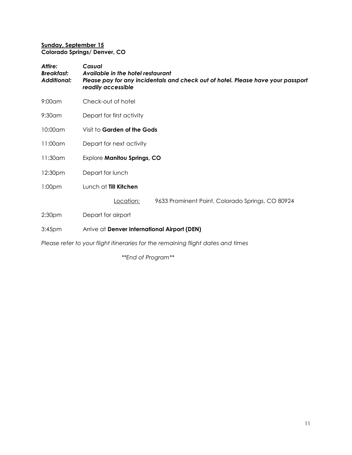### **Sunday, September 15 Colorado Springs/ Denver, CO**

| Attire:<br><b>Breakfast:</b><br><b>Additional:</b> | Casual<br>Available in the hotel restaurant<br>Please pay for any incidentals and check out of hotel. Please have your passport<br>readily accessible |
|----------------------------------------------------|-------------------------------------------------------------------------------------------------------------------------------------------------------|
| $9:00$ am                                          | Check-out of hotel                                                                                                                                    |
| $9:30$ am                                          | Depart for first activity                                                                                                                             |
| 10:00am                                            | Visit to Garden of the Gods                                                                                                                           |
| 11:00am                                            | Depart for next activity                                                                                                                              |
| $11:30$ am                                         | Explore Manitou Springs, CO                                                                                                                           |
| 12:30pm                                            | Depart for lunch                                                                                                                                      |
| 1:00 <sub>pm</sub>                                 | Lunch at Till Kitchen                                                                                                                                 |
|                                                    | Location:<br>9633 Prominent Point, Colorado Springs, CO 80924                                                                                         |
| 2:30 <sub>pm</sub>                                 | Depart for airport                                                                                                                                    |
| 3:45 <sub>pm</sub>                                 | Arrive at Denver International Airport (DEN)                                                                                                          |
|                                                    |                                                                                                                                                       |

*Please refer to your flight itineraries for the remaining flight dates and times*

*\*\*End of Program\*\**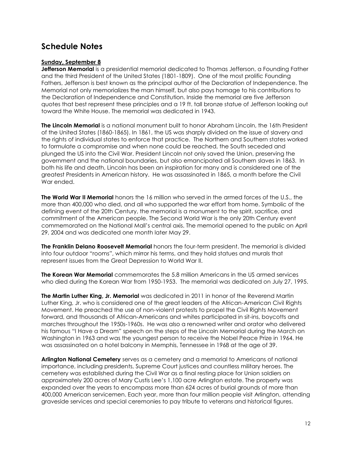# <span id="page-11-0"></span>**Schedule Notes**

### **Sunday, September 8**

**Jefferson Memorial** is a presidential memorial dedicated to Thomas Jefferson, a Founding Father and the third President of the United States (1801-1809). One of the most prolific Founding Fathers, Jefferson is best known as the principal author of the Declaration of Independence. The Memorial not only memorializes the man himself, but also pays homage to his contributions to the Declaration of Independence and Constitution. Inside the memorial are five Jefferson quotes that best represent these principles and a 19 ft. tall bronze statue of Jefferson looking out toward the White House. The memorial was dedicated in 1943.

**The Lincoln Memorial** is a national monument built to honor Abraham Lincoln, the 16th President of the United States (1860-1865). In 1861, the US was sharply divided on the issue of slavery and the rights of individual states to enforce that practice. The Northern and Southern states worked to formulate a compromise and when none could be reached, the South seceded and plunged the US into the Civil War. President Lincoln not only saved the Union, preserving the government and the national boundaries, but also emancipated all Southern slaves in 1863. In both his life and death, Lincoln has been an inspiration for many and is considered one of the greatest Presidents in American history. He was assassinated in 1865, a month before the Civil War ended.

**The World War II Memorial** honors the 16 million who served in the armed forces of the U.S., the more than 400,000 who died, and all who supported the war effort from home. Symbolic of the defining event of the 20th Century, the memorial is a monument to the spirit, sacrifice, and commitment of the American people. The Second World War is the only 20th Century event commemorated on the National Mall's central axis. The memorial opened to the public on April 29, 2004 and was dedicated one month later May 29.

**The Franklin Delano Roosevelt Memorial** honors the four-term president. The memorial is divided into four outdoor "rooms", which mirror his terms, and they hold statues and murals that represent issues from the Great Depression to World War II.

**The Korean War Memorial** commemorates the 5.8 million Americans in the US armed services who died during the Korean War from 1950-1953. The memorial was dedicated on July 27, 1995.

**The Martin Luther King, Jr. Memorial** was dedicated in 2011 in honor of the Reverend Martin Luther King, Jr. who is considered one of the great leaders of the African-American Civil Rights Movement. He preached the use of non-violent protests to propel the Civil Rights Movement forward, and thousands of African-Americans and whites participated in sit-ins, boycotts and marches throughout the 1950s-1960s. He was also a renowned writer and orator who delivered his famous "I Have a Dream" speech on the steps of the Lincoln Memorial during the March on Washington in 1963 and was the youngest person to receive the Nobel Peace Prize in 1964. He was assassinated on a hotel balcony in Memphis, Tennessee in 1968 at the age of 39.

**Arlington National Cemetery** serves as a cemetery and a memorial to Americans of national importance, including presidents, Supreme Court justices and countless military heroes. The cemetery was established during the Civil War as a final resting place for Union soldiers on approximately 200 acres of Mary Custis Lee's 1,100 acre Arlington estate. The property was expanded over the years to encompass more than 624 acres of burial grounds of more than 400,000 American servicemen. Each year, more than four million people visit Arlington, attending graveside services and special ceremonies to pay tribute to veterans and historical figures.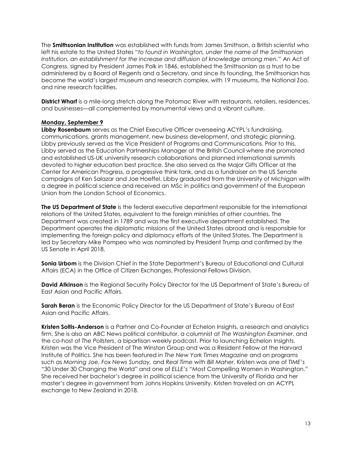The **Smithsonian Institution** was established with funds from James Smithson, a British scientist who left his estate to the United States "*to found in Washington, under the name of the Smithsonian Institution, an establishment for the increase and diffusion of knowledge among men."* An Act of Congress, signed by President James Polk in 1846, established the Smithsonian as a trust to be administered by a Board of Regents and a Secretary, and since its founding, the Smithsonian has become the world's largest museum and research complex, with 19 museums, the National Zoo, and nine research facilities.

**District Wharf** is a mile-long stretch along the Potomac River with restaurants, retailers, residences, and businesses—all complemented by monumental views and a vibrant culture.

### **Monday, September 9**

**Libby Rosenbaum** serves as the Chief Executive Officer overseeing ACYPL's fundraising, communications, grants management, new business development, and strategic planning. Libby previously served as the Vice President of Programs and Communications. Prior to this, Libby served as the Education Partnerships Manager at the British Council where she promoted and established US-UK university research collaborations and planned international summits devoted to higher education best practice. She also served as the Major Gifts Officer at the Center for American Progress, a progressive think tank, and as a fundraiser on the US Senate campaigns of Ken Salazar and Joe Hoeffel. Libby graduated from the University of Michigan with a degree in political science and received an MSc in politics and government of the European Union from the London School of Economics.

**The US Department of State** is the federal executive department responsible for the international relations of the United States, equivalent to the foreign ministries of other countries. The Department was created in 1789 and was the first executive department established. The Department operates the diplomatic missions of the United States abroad and is responsible for implementing the foreign policy and diplomacy efforts of the United States. The Department is led by Secretary Mike Pompeo who was nominated by President Trump and confirmed by the US Senate in April 2018.

**Sonia Urbom** is the Division Chief in the State Department's Bureau of Educational and Cultural Affairs (ECA) in the Office of Citizen Exchanges, Professional Fellows Division.

**David Atkinson** is the Regional Security Policy Director for the US Department of State's Bureau of East Asian and Pacific Affairs.

**Sarah Beran** is the Economic Policy Director for the US Department of State's Bureau of East Asian and Pacific Affairs.

**Kristen Soltis-Anderson** is a Partner and Co-Founder at Echelon Insights, a research and analytics firm. She is also an ABC News political contributor, a columnist at *The Washington Examiner*, and the co-host of *The Pollsters*, a bipartisan weekly podcast. Prior to launching Echelon Insights, Kristen was the Vice President of The Winston Group and was a Resident Fellow at the Harvard Institute of Politics. She has been featured in *The New York Times Magazine* and on programs such as *Morning Joe, Fox News Sunday,* and *Real Time with Bill Maher*. Kristen was one of *TIME's "*30 Under 30 Changing the World" and one of *ELLE's* "Most Compelling Women in Washington." She received her bachelor's degree in political science from the University of Florida and her master's degree in government from Johns Hopkins University. Kristen traveled on an ACYPL exchange to New Zealand in 2018.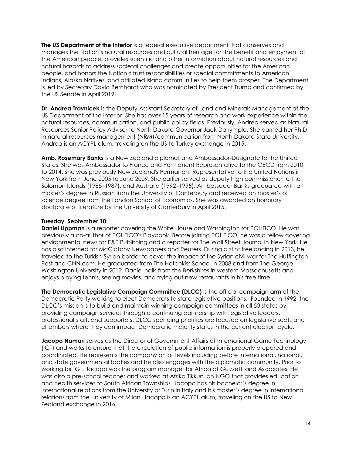**The US Department of the Interior** is a federal executive department that conserves and manages the Nation's natural resources and cultural heritage for the benefit and enjoyment of the American people, provides scientific and other information about natural resources and natural hazards to address societal challenges and create opportunities for the American people, and honors the Nation's trust responsibilities or special commitments to American Indians, Alaska Natives, and affiliated island communities to help them prosper. The Department is led by Secretary David Bernhardt who was nominated by President Trump and confirmed by the US Senate in April 2019.

**Dr. Andrea Travnicek** is the Deputy Assistant Secretary of Land and Minerals Management at the US Department of the Interior. She has over 15 years of research and work experience within the natural resources, communication, and public policy fields. Previously, Andrea served as Natural Resources Senior Policy Advisor to North Dakota Governor Jack Dalrymple. She earned her Ph.D. in natural resources management (NRM)/communication from North Dakota State University. Andrea is an ACYPL alum, traveling on the US to Turkey exchange in 2015.

**Amb. Rosemary Banks** is a New Zealand diplomat and Ambassador-Designate to the United States. She was Ambassador to France and Permanent Representative to the OECD from 2010 to 2014. She was previously New Zealand's Permanent Representative to the United Nations in New York from June 2005 to June 2009. She earlier served as deputy high commissioner to the Solomon Islands (1985–1987), and Australia (1992–1995). Ambassador Banks graduated with a master's degree in Russian from the University of Canterbury and received an master's of science degree from the London School of Economics. She was awarded an honorary doctorate of literature by the University of Canterbury in April 2015.

### **Tuesday, September 10**

**Daniel Lippman** is a reporter covering the White House and Washington for POLITICO. He was previously a co-author of POLITICO's Playbook. Before joining POLITICO, he was a fellow covering environmental news for E&E Publishing and a reporter for The Wall Street Journal in New York. He has also interned for McClatchy Newspapers and Reuters. During a stint freelancing in 2013, he traveled to the Turkish-Syrian border to cover the impact of the Syrian civil war for The Huffington Post and CNN.com. He graduated from The Hotchkiss School in 2008 and from The George Washington University in 2012. Daniel hails from the Berkshires in western Massachusetts and enjoys playing tennis, seeing movies, and trying out new restaurants in his free time.

**The Democratic Legislative Campaign Committee (DLCC)** is the official campaign arm of the Democratic Party working to elect Democrats to state legislative positions. Founded in 1992, the DLCC's mission is to build and maintain winning campaign committees in all 50 states by providing campaign services through a continuing partnership with legislative leaders, professional staff, and supporters. DLCC spending priorities are focused on legislative seats and chambers where they can impact Democratic majority status in the current election cycle.

**Jacopo Namari** serves as the Director of Government Affairs at International Game Technology (IGT) and works to ensure that the circulation of public information is properly prepared and coordinated. He represents the company on all levels including before international, national, and state governmental bodies and he also engages with the diplomatic community. Prior to working for IGT, Jacopo was the program manager for Africa at Guizzetti and Associates. He was also a pre-school teacher and worked at Afrika Tikkun, an NGO that provides education and health services to South African Townships. Jacopo has his bachelor's degree in international relations from the University of Turin in Italy and his master's degree in international relations from the University of Milan. Jacapo is an ACYPL alum, traveling on the US to New Zealand exchange in 2016.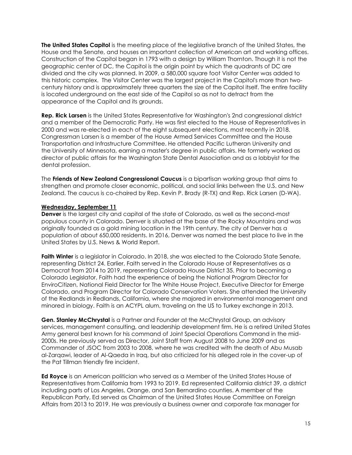**The United States Capitol** is the meeting place of the legislative branch of the United States, the House and the Senate, and houses an important collection of American art and working offices. Construction of the Capitol began in 1793 with a design by William Thornton. Though it is not the geographic center of DC, the Capitol is the origin point by which the quadrants of DC are divided and the city was planned. In 2009, a 580,000 square foot Visitor Center was added to this historic complex. The Visitor Center was the largest project in the Capitol's more than twocentury history and is approximately three quarters the size of the Capitol itself. The entire facility is located underground on the east side of the Capitol so as not to detract from the appearance of the Capitol and its grounds.

**Rep. Rick Larsen** is the United States Representative for Washington's 2nd congressional district and a member of the Democratic Party. He was first elected to the House of Representatives in 2000 and was re-elected in each of the eight subsequent elections, most recently in 2018. Congressman Larsen is a member of the House Armed Services Committee and the House Transportation and Infrastructure Committee. He attended Pacific Lutheran University and the University of Minnesota, earning a master's degree in public affairs. He formerly worked as director of public affairs for the Washington State Dental Association and as a lobbyist for the dental profession.

The **Friends of New Zealand Congressional Caucus** is a bipartisan working group that aims to strengthen and promote closer economic, political, and social links between the U.S. and New Zealand. The caucus is co-chaired by Rep. Kevin P. Brady (R-TX) and Rep. Rick Larsen (D-WA).

#### **Wednesday, September 11**

**Denver** is the largest city and capital of the state of Colorado, as well as the second-most populous county in Colorado. Denver is situated at the base of the Rocky Mountains and was originally founded as a gold mining location in the 19th century. The city of Denver has a population of about 650,000 residents. In 2016, Denver was named the best place to live in the United States by U.S. News & World Report.

**Faith Winter** is a legislator in Colorado. In 2018, she was elected to the Colorado State Senate, representing District 24. Earlier, Faith served in the Colorado House of Representatives as a Democrat from 2014 to 2019, representing Colorado House District 35. Prior to becoming a Colorado Legislator, Faith had the experience of being the National Program Director for EnviroCitizen, National Field Director for The White House Project, Executive Director for Emerge Colorado, and Program Director for Colorado Conservation Voters. She attended the University of the Redlands in Redlands, California, where she majored in environmental management and minored in biology. Faith is an ACYPL alum, traveling on the US to Turkey exchange in 2013.

**Gen. Stanley McChrystal** is a Partner and Founder at the McChrystal Group, an advisory services, management consulting, and leadership development firm. He is a retired United States Army general best known for his command of Joint Special Operations Command in the mid-2000s. He previously served as Director, Joint Staff from August 2008 to June 2009 and as Commander of JSOC from 2003 to 2008, where he was credited with the death of Abu Musab al-Zarqawi, leader of Al-Qaeda in Iraq, but also criticized for his alleged role in the cover-up of the Pat Tillman friendly fire incident.

**Ed Royce** is an American politician who served as a Member of the United States House of Representatives from California from 1993 to 2019. Ed represented California district 39, a district including parts of Los Angeles, Orange, and San Bernardino counties. A member of the Republican Party, Ed served as Chairman of the United States House Committee on Foreign Affairs from 2013 to 2019. He was previously a business owner and corporate tax manager for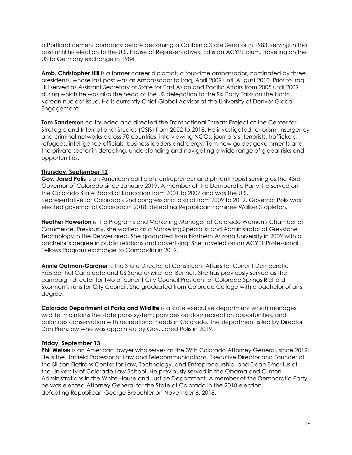a Portland cement company before becoming a California State Senator in 1983, serving in that post until his election to the U.S. House of Representatives. Ed is an ACYPL alum, traveling on the US to Germany exchange in 1984.

**Amb. Christopher Hill** is a former career diplomat, a four-time ambassador, nominated by three presidents, whose last post was as Ambassador to Iraq, April 2009 until August 2010. Prior to Iraq, Hill served as Assistant Secretary of State for East Asian and Pacific Affairs from 2005 until 2009 during which he was also the head of the US delegation to the Six Party Talks on the North Korean nuclear issue. He is currently Chief Global Advisor at the University of Denver Global Engagement.

**Tom Sanderson** co-founded and directed the Transnational Threats Project at the Center for Strategic and International Studies (CSIS) from 2002 to 2018. He investigated terrorism, insurgency and criminal networks across 70 countries, interviewing NGOs, journalists, terrorists, traffickers, refugees, intelligence officials, business leaders and clergy. Tom now guides governments and the private sector in detecting, understanding and navigating a wide range of global risks and opportunities.

### **Thursday, September 12**

**Gov. Jared Polis** is an American politician, entrepreneur and philanthropist serving as the 43rd Governor of Colorado since January 2019. A member of the Democratic Party, he served on the Colorado State Board of Education from 2001 to 2007 and was the U.S. Representative for Colorado's 2nd congressional district from 2009 to 2019. Governor Polis was elected governor of Colorado in 2018, defeating Republican nominee Walker Stapleton.

**Heather Howerton** is the Programs and Marketing Manager at Colorado Women's Chamber of Commerce. Previously, she worked as a Marketing Specialist and Administrator at Greystone Technology in the Denver area. She graduated from Northern Arizona University in 2009 with a bachelor's degree in public relations and advertising. She traveled on an ACYPL Professional Fellows Program exchange to Cambodia in 2019.

**Annie Oatman-Gardner** is the State Director of Constituent Affairs for Current Democratic Presidential Candidate and US Senator Michael Bennet. She has previously served as the campaign director for two of current City Council President of Colorado Springs Richard Skorman's runs for City Council. She graduated from Colorado College with a bachelor of arts degree.

**Colorado Department of Parks and Wildlife** is a state executive department which manages wildlife, maintains the state parks system, provides outdoor recreation opportunities, and balances conservation with recreational needs in Colorado. The department is led by Director Dan Prenzlow who was appointed by Gov. Jared Polis in 2019.

#### **Friday, September 13**

**Phil Weiser** is an American lawyer who serves as the 39th Colorado Attorney General, since 2019. He is the Hatfield Professor of Law and Telecommunications, Executive Director and Founder of the Silicon Flatirons Center for Law, Technology, and Entrepreneurship, and Dean Emeritus at the University of Colorado Law School. He previously served in the Obama and Clinton Administrations in the White House and Justice Department. A member of the Democratic Party, he was elected Attorney General for the State of Colorado in the 2018 election, defeating Republican George Brauchler on November 6, 2018.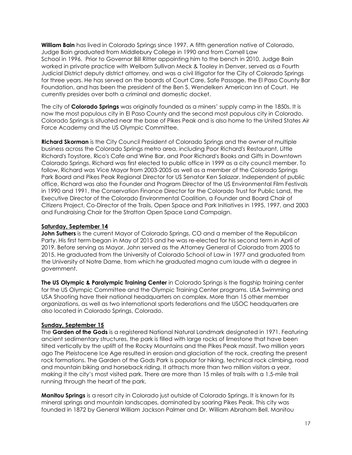**William Bain** has lived in Colorado Springs since 1997. A fifth generation native of Colorado, Judge Bain graduated from Middlebury College in 1990 and from Cornell Law School in 1996. Prior to Governor Bill Ritter appointing him to the bench in 2010, Judge Bain worked in private practice with Welborn Sullivan Meck & Tooley in Denver, served as a Fourth Judicial District deputy district attorney, and was a civil litigator for the City of Colorado Springs for three years. He has served on the boards of Court Care, Safe Passage, the El Paso County Bar Foundation, and has been the president of the Ben S. Wendelken American Inn of Court. He currently presides over both a criminal and domestic docket.

The city of **Colorado Springs** was originally founded as a miners' supply camp in the 1850s. It is now the most populous city in El Paso County and the second most populous city in Colorado. Colorado Springs is situated near the base of Pikes Peak and is also home to the United States Air Force Academy and the US Olympic Committee.

**Richard Skorman** is the City Council President of Colorado Springs and the owner of multiple business across the Colorado Springs metro area, including Poor Richard's Restaurant, Little Richard's Toystore, Rico's Cafe and Wine Bar, and Poor Richard's Books and Gifts in Downtown Colorado Springs. Richard was first elected to public office in 1999 as a city council member. To follow, Richard was Vice Mayor from 2003-2005 as well as a member of the Colorado Springs Park Board and Pikes Peak Regional Director for US Senator Ken Salazar. Independent of public office, Richard was also the Founder and Program Director of the US Environmental Film Festivals in 1990 and 1991, the Conservation Finance Director for the Colorado Trust for Public Land, the Executive Director of the Colorado Environmental Coalition, a Founder and Board Chair of Citizens Project, Co-Director of the Trails, Open Space and Park Initiatives in 1995, 1997, and 2003 and Fundraising Chair for the Stratton Open Space Land Campaign.

### **Saturday, September 14**

**John Suthers** is the current Mayor of Colorado Springs, CO and a member of the Republican Party. His first term began in May of 2015 and he was re-elected for his second term in April of 2019. Before serving as Mayor, John served as the Attorney General of Colorado from 2005 to 2015. He graduated from the University of Colorado School of Law in 1977 and graduated from the University of Notre Dame, from which he graduated magna cum laude with a degree in government.

**The US Olympic & Paralympic Training Center** in Colorado Springs is the flagship training center for the US Olympic Committee and the Olympic Training Center programs. USA Swimming and USA Shooting have their national headquarters on complex. More than 15 other member organizations, as well as two international sports federations and the USOC headquarters are also located in Colorado Springs, Colorado.

### **Sunday, September 15**

The **Garden of the Gods** is a registered National Natural Landmark designated in 1971. Featuring ancient sedimentary structures, the park is filled with large rocks of limestone that have been tilted vertically by the uplift of the Rocky Mountains and the Pikes Peak massif. Two million years ago The Pleistocene Ice Age resulted in erosion and glaciation of the rock, creating the present rock formations. The Garden of the Gods Park is popular for hiking, technical rock climbing, road and mountain biking and horseback riding. It attracts more than two million visitors a year, making it the city's most visited park. There are more than 15 miles of trails with a 1.5-mile trail running through the heart of the park.

**Manitou Springs** is a resort city in Colorado just outside of Colorado Springs. It is known for its mineral springs and mountain landscapes, dominated by soaring Pikes Peak. This city was founded in 1872 by General William Jackson Palmer and Dr. William Abraham Bell. Manitou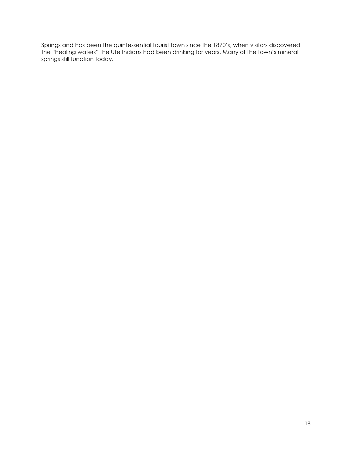<span id="page-17-0"></span>Springs and has been the quintessential tourist town since the 1870's, when visitors discovered the "healing waters" the Ute Indians had been drinking for years. Many of the town's mineral springs still function today.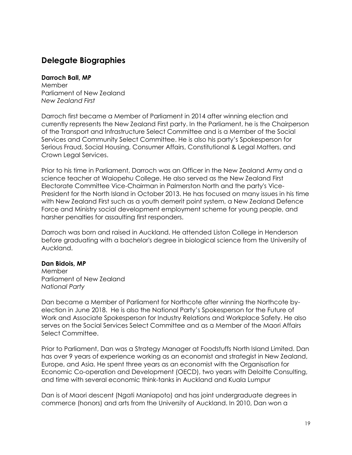# **Delegate Biographies**

### **Darroch Ball, MP**

Member Parliament of New Zealand *New Zealand First*

Darroch first became a Member of Parliament in 2014 after winning election and currently represents the New Zealand First party. In the Parliament, he is the Chairperson of the Transport and Infrastructure Select Committee and is a Member of the Social Services and Community Select Committee. He is also his party's Spokesperson for Serious Fraud, Social Housing, Consumer Affairs, Constitutional & Legal Matters, and Crown Legal Services.

Prior to his time in Parliament, Darroch was an Officer in the New Zealand Army and a science teacher at Waiopehu College. He also served as the New Zealand First Electorate Committee Vice-Chairman in Palmerston North and the party's Vice-President for the North Island in October 2013. He has focused on many issues in his time with New Zealand First such as a youth demerit point system, a New Zealand Defence Force and Ministry social development employment scheme for young people, and harsher penalties for assaulting first responders.

Darroch was born and raised in Auckland. He attended Liston College in [Henderson](https://en.wikipedia.org/wiki/Henderson,_New_Zealand) before graduating with a bachelor's degree in biological science from the University of Auckland.

### **Dan Bidois, MP**

Member Parliament of New Zealand *National Party*

Dan became a Member of Parliament for Northcote after winning the Northcote byelection in June 2018. He is also the National Party's Spokesperson for the Future of Work and Associate Spokesperson for Industry Relations and Workplace Safety. He also serves on the Social Services Select Committee and as a Member of the Maori Affairs Select Committee.

Prior to Parliament, Dan was a Strategy Manager at Foodstuffs North Island Limited. Dan has over 9 years of experience working as an economist and strategist in New Zealand, Europe, and Asia. He spent three years as an economist with the Organisation for Economic Co-operation and Development (OECD), two years with Deloitte Consulting, and time with several economic think-tanks in Auckland and Kuala Lumpur

Dan is of Maori descent (Ngati Maniapoto) and has joint undergraduate degrees in commerce (honors) and arts from the University of Auckland. In 2010, Dan won a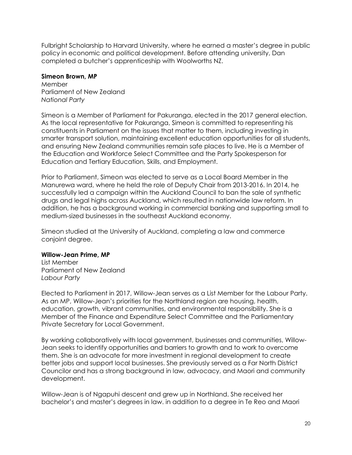Fulbright Scholarship to Harvard University, where he earned a master's degree in public policy in economic and political development. Before attending university, Dan completed a butcher's apprenticeship with Woolworths NZ.

### **Simeon Brown, MP**

Member Parliament of New Zealand *National Party*

Simeon is a Member of Parliament for Pakuranga, elected in the 2017 general election. As the local representative for Pakuranga, Simeon is committed to representing his constituents in Parliament on the issues that matter to them, including investing in smarter transport solution, maintaining excellent education opportunities for all students, and ensuring New Zealand communities remain safe places to live. He is a Member of the Education and Workforce Select Committee and the Party Spokesperson for Education and Tertiary Education, Skills, and Employment.

Prior to Parliament, Simeon was elected to serve as a Local Board Member in the Manurewa ward, where he held the role of Deputy Chair from 2013-2016. In 2014, he successfully led a campaign within the Auckland Council to ban the sale of synthetic drugs and legal highs across Auckland, which resulted in nationwide law reform. In addition, he has a background working in commercial banking and supporting small to medium-sized businesses in the southeast Auckland economy.

Simeon studied at the University of Auckland, completing a law and commerce conjoint degree.

### **Willow-Jean Prime, MP**

List Member Parliament of New Zealand *Labour Party*

Elected to Parliament in 2017, Willow-Jean serves as a List Member for the Labour Party. As an MP, Willow-Jean's priorities for the Northland region are housing, health, education, growth, vibrant communities, and environmental responsibility. She is a Member of the Finance and Expenditure Select Committee and the Parliamentary Private Secretary for Local Government.

By working collaboratively with local government, businesses and communities, Willow-Jean seeks to identify opportunities and barriers to growth and to work to overcome them. She is an advocate for more investment in regional development to create better jobs and support local businesses. She previously served as a Far North District Councilor and has a strong background in law, advocacy, and Maori and community development.

Willow-Jean is of Ngapuhi descent and grew up in Northland. She received her bachelor's and master's degrees in law. in addition to a degree in Te Reo and Maori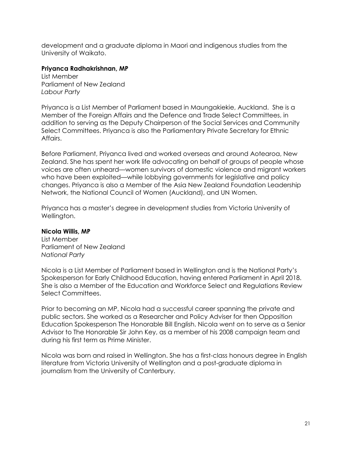development and a graduate diploma in Maori and indigenous studies from the University of Waikato.

### **Priyanca Radhakrishnan, MP**

List Member Parliament of New Zealand *Labour Party*

Priyanca is a List Member of Parliament based in Maungakiekie, Auckland. She is a Member of the Foreign Affairs and the Defence and Trade Select Committees, in addition to serving as the Deputy Chairperson of the Social Services and Community Select Committees. Priyanca is also the Parliamentary Private Secretary for Ethnic Affairs.

Before Parliament, Priyanca lived and worked overseas and around Aotearoa, New Zealand. She has spent her work life advocating on behalf of groups of people whose voices are often unheard—women survivors of domestic violence and migrant workers who have been exploited—while lobbying governments for legislative and policy changes. Priyanca is also a Member of the Asia New Zealand Foundation Leadership Network, the National Council of Women (Auckland), and UN Women.

Priyanca has a master's degree in development studies from Victoria University of Wellington.

### **Nicola Willis, MP**

List Member Parliament of New Zealand *National Party*

Nicola is a List Member of Parliament based in Wellington and is the National Party's Spokesperson for Early Childhood Education, having entered Parliament in April 2018. She is also a Member of the Education and Workforce Select and Regulations Review Select Committees.

Prior to becoming an MP, Nicola had a successful career spanning the private and public sectors. She worked as a Researcher and Policy Adviser for then Opposition Education Spokesperson The Honorable Bill English. Nicola went on to serve as a Senior Advisor to The Honorable Sir John Key, as a member of his 2008 campaign team and during his first term as Prime Minister.

Nicola was born and raised in Wellington. She has a first-class honours degree in English literature from Victoria University of Wellington and a post-graduate diploma in journalism from the University of Canterbury.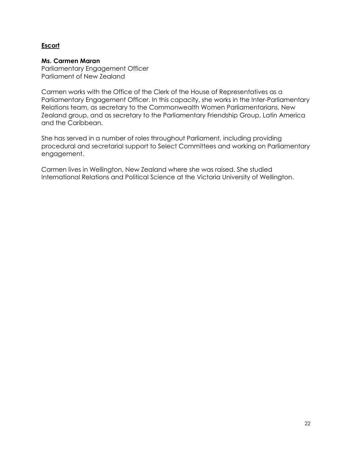### **Escort**

### **Ms. Carmen Maran**

Parliamentary Engagement Officer Parliament of New Zealand

Carmen works with the Office of the Clerk of the House of Representatives as a Parliamentary Engagement Officer. In this capacity, she works in the Inter-Parliamentary Relations team, as secretary to the Commonwealth Women Parliamentarians, New Zealand group, and as secretary to the Parliamentary Friendship Group, Latin America and the Caribbean.

She has served in a number of roles throughout Parliament, including providing procedural and secretarial support to Select Committees and working on Parliamentary engagement.

Carmen lives in Wellington, New Zealand where she was raised. She studied International Relations and Political Science at the Victoria University of Wellington.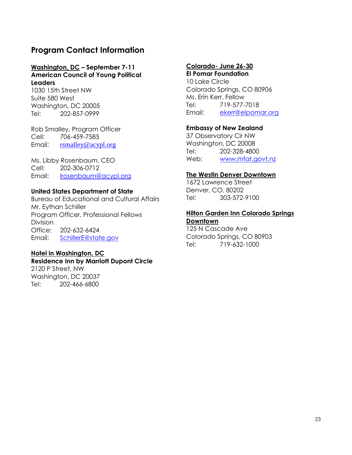# <span id="page-22-0"></span>**Program Contact Information**

### **Washington, DC – September 7-11 American Council of Young Political Leaders**

1030 15th Street NW Suite 580 West Washington, DC 20005 Tel: 202-857-0999

Rob Smalley, Program Officer Cell: 706-459-7585 Email: [rsmalley@acypl.org](mailto:rsmalley@acypl.org)

Ms. Libby Rosenbaum, CEO Cell: 202-306-0712 Email: [lrosenbaum@acypl.org](mailto:lrosenbaum@acypl.org) 

### **United States Department of State**

Bureau of Educational and Cultural Affairs Mr. Eythan Schiller Program Officer, Professional Fellows Division Office: 202-632-6424 Email: [SchillerE@state.gov](mailto:SchillerE@state.gov)

### **Hotel in Washington, DC**

### **Residence Inn by Marriott Dupont Circle**

2120 P Street, NW Washington, DC 20037 Tel: 202-466-6800

### **Colorado- June 26-30**

**El Pomar Foundation** 10 Lake Circle Colorado Springs, CO 80906 Ms. Erin Kerr, Fellow Tel: 719-577-7018 Email: [ekerr@elpomar.org](mailto:ekerr@elpomar.org)

### **Embassy of New Zealand**

37 Observatory Cir NW Washington, DC 20008 Tel: 202-328-4800 Web: [www.mfat.govt.nz](http://www.mfat.govt.nz/)

### **The Westin Denver Downtown**

1672 Lawrence Street Denver, CO, 80202 Tel: 303-572-9100

### **Hilton Garden Inn Colorado Springs Downtown**

125 N Cascade Ave Colorado Springs, CO 80903 Tel: 719-632-1000